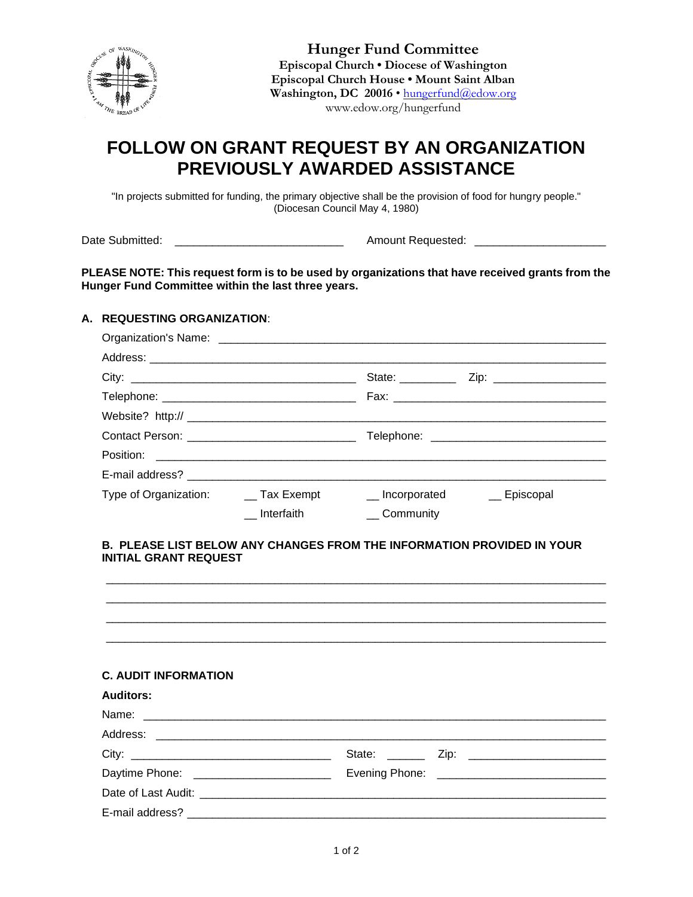

**Hunger Fund Committee Episcopal Church • Diocese of Washington Episcopal Church House • Mount Saint Alban** Washington, DC 20016 · [hungerfund@edow.org](mailto:hungerfund@edow.org) www.edow.org/hungerfund

# **FOLLOW ON GRANT REQUEST BY AN ORGANIZATION PREVIOUSLY AWARDED ASSISTANCE**

"In projects submitted for funding, the primary objective shall be the provision of food for hungry people." (Diocesan Council May 4, 1980)

Date Submitted: \_\_\_\_\_\_\_\_\_\_\_\_\_\_\_\_\_\_\_\_\_\_\_\_\_\_\_ Amount Requested: \_\_\_\_\_\_\_\_\_\_\_\_\_\_\_\_\_\_\_\_\_

**PLEASE NOTE: This request form is to be used by organizations that have received grants from the Hunger Fund Committee within the last three years.** 

## **A. REQUESTING ORGANIZATION**:

|                                        |                     |              | Telephone: ___________________________________ |
|----------------------------------------|---------------------|--------------|------------------------------------------------|
|                                        |                     |              |                                                |
|                                        |                     |              |                                                |
| Type of Organization: _____ Tax Exempt |                     |              | __ Incorporated ___ Episcopal                  |
|                                        | $\equiv$ Interfaith | __ Community |                                                |

#### **B. PLEASE LIST BELOW ANY CHANGES FROM THE INFORMATION PROVIDED IN YOUR INITIAL GRANT REQUEST**

\_\_\_\_\_\_\_\_\_\_\_\_\_\_\_\_\_\_\_\_\_\_\_\_\_\_\_\_\_\_\_\_\_\_\_\_\_\_\_\_\_\_\_\_\_\_\_\_\_\_\_\_\_\_\_\_\_\_\_\_\_\_\_\_\_\_\_\_\_\_\_\_\_\_\_\_\_\_\_\_

| <b>C. AUDIT INFORMATION</b>              |  |  |
|------------------------------------------|--|--|
| <b>Auditors:</b>                         |  |  |
|                                          |  |  |
|                                          |  |  |
|                                          |  |  |
| Daytime Phone: _________________________ |  |  |
|                                          |  |  |
|                                          |  |  |